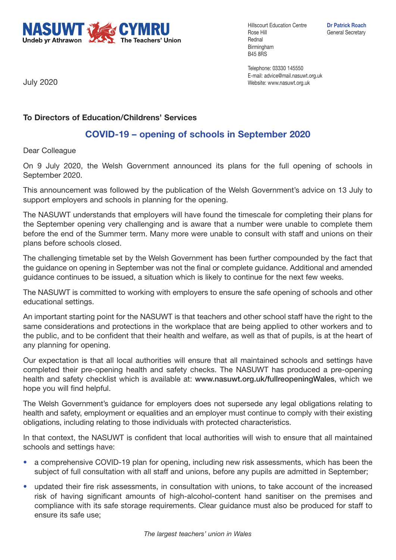

Hillscourt Education Centre **Dr Patrick Roach** Rose Hill **General Secretary** Rednal Birmingham B45 8RS

Telephone: 03330 145550 E-mail: advice@mail.nasuwt.org.uk Website: www.nasuwt.org.uk

July 2020

## **To Directors of Education/Childrens' Services**

## **COVID-19 – opening of schools in September 2020**

Dear Colleague

On 9 July 2020, the Welsh Government announced its plans for the full opening of schools in September 2020.

This announcement was followed by the publication of the Welsh Government's advice on 13 July to support employers and schools in planning for the opening.

The NASUWT understands that employers will have found the timescale for completing their plans for the September opening very challenging and is aware that a number were unable to complete them before the end of the Summer term. Many more were unable to consult with staff and unions on their plans before schools closed.

The challenging timetable set by the Welsh Government has been further compounded by the fact that the guidance on opening in September was not the final or complete guidance. Additional and amended guidance continues to be issued, a situation which is likely to continue for the next few weeks.

The NASUWT is committed to working with employers to ensure the safe opening of schools and other educational settings.

An important starting point for the NASUWT is that teachers and other school staff have the right to the same considerations and protections in the workplace that are being applied to other workers and to the public, and to be confident that their health and welfare, as well as that of pupils, is at the heart of any planning for opening.

Our expectation is that all local authorities will ensure that all maintained schools and settings have completed their pre-opening health and safety checks. The NASUWT has produced a pre-opening health and safety checklist which is available at: **www.nasuwt.org.uk/fullreopeningWales**, which we hope you will find helpful.

The Welsh Government's guidance for employers does not supersede any legal obligations relating to health and safety, employment or equalities and an employer must continue to comply with their existing obligations, including relating to those individuals with protected characteristics.

In that context, the NASUWT is confident that local authorities will wish to ensure that all maintained schools and settings have:

- a comprehensive COVID-19 plan for opening, including new risk assessments, which has been the subject of full consultation with all staff and unions, before any pupils are admitted in September;
- updated their fire risk assessments, in consultation with unions, to take account of the increased risk of having significant amounts of high-alcohol-content hand sanitiser on the premises and compliance with its safe storage requirements. Clear guidance must also be produced for staff to ensure its safe use;